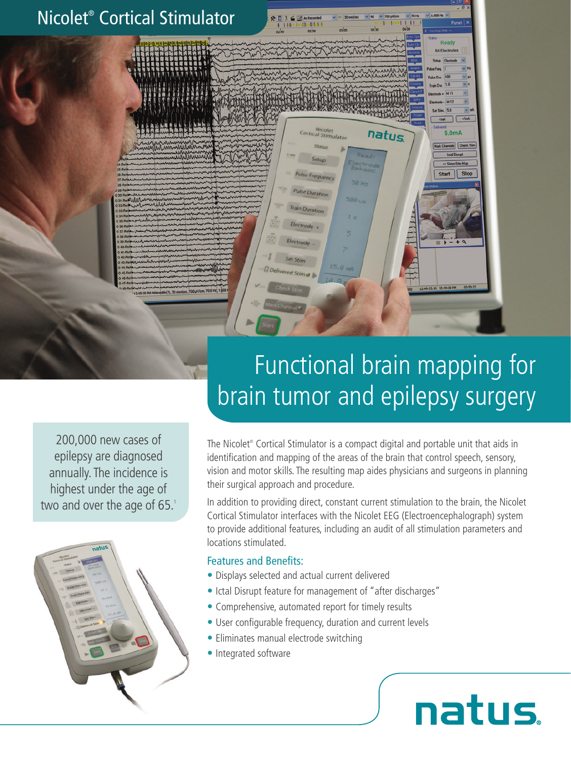

200,000 new cases of epilepsy are diagnosed annually. The incidence is highest under the age of two and over the age of 65.1



# Functional brain mapping for brain tumor and epilepsy surgery

The Nicolet® Cortical Stimulator is a compact digital and portable unit that aids in identification and mapping of the areas of the brain that control speech, sensory, vision and motor skills. The resulting map aides physicians and surgeons in planning their surgical approach and procedure.

In addition to providing direct, constant current stimulation to the brain, the Nicolet Cortical Stimulator interfaces with the Nicolet EEG (Electroencephalograph) system to provide additional features, including an audit of all stimulation parameters and locations stimulated.

**natus** 

#### Features and Benefits:

- Displays selected and actual current delivered
- Ictal Disrupt feature for management of "after discharges"
- Comprehensive, automated report for timely results
- User configurable frequency, duration and current levels
- Eliminates manual electrode switching
- Integrated software